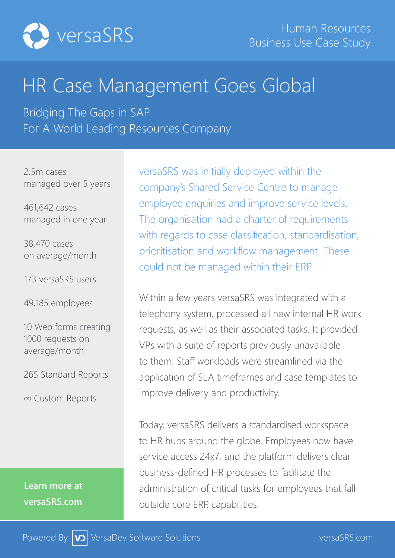

# HR Case Management Goes Global

Bridging The Gaps in SAP For A World Leading Resources Company

2.5m cases managed over 5 years

461,642 cases managed in one year

38,470 cases on average/month

173 versaSRS users

49,185 employees

10 Web forms creating 1000 requests on average/month

265 Standard Reports

∞ Custom Reports

**Learn more at versaSRS.com**

versaSRS was initially deployed within the company's Shared Service Centre to manage employee enquiries and improve service levels. The organisation had a charter of requirements with regards to case classification, standardisation, prioritisation and workflow management. These could not be managed within their ERP.

Within a few years versaSRS was integrated with a telephony system, processed all new internal HR work requests, as well as their associated tasks. It provided VPs with a suite of reports previously unavailable to them. Staff workloads were streamlined via the application of SLA timeframes and case templates to improve delivery and productivity.

Today, versaSRS delivers a standardised workspace to HR hubs around the globe. Employees now have service access 24x7, and the platform delivers clear business-defined HR processes to facilitate the administration of critical tasks for employees that fall outside core ERP. capabilities.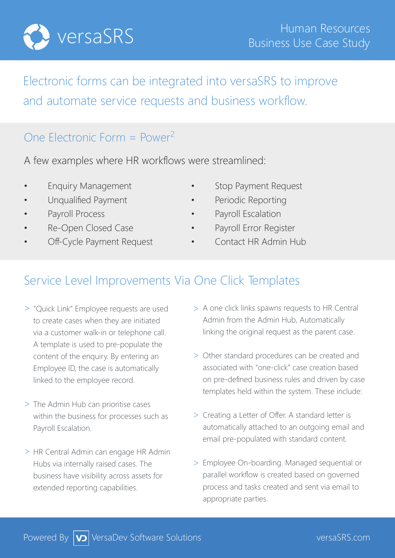

## Electronic forms can be integrated into versaSRS to improve and automate service requests and business workflow.

#### One Electronic Form =  $Power<sup>2</sup>$

A few examples where HR workflows were streamlined:

- 
- 
- 
- 
- 
- **Enquiry Management Stop Payment Request**
- Unqualified Payment **•** Periodic Reporting
- Payroll Process  **Payroll Escalation**
- Re-Open Closed Case **•** Payroll Error Register
- Off-Cycle Payment Request Contact HR Admin Hub

#### Service Level Improvements Via One Click Templates

- > "Quick Link" Employee requests are used to create cases when they are initiated via a customer walk-in or telephone call. A template is used to pre-populate the content of the enquiry. By entering an Employee ID, the case is automatically linked to the employee record.
- > The Admin Hub can prioritise cases within the business for processes such as Payroll Escalation.
- > HR Central Admin can engage HR Admin Hubs via internally raised cases. The business have visibility across assets for extended reporting capabilities.
- > A one click links spawns requests to HR Central Admin from the Admin Hub, Automatically linking the original request as the parent case.
- Other standard procedures can be created and > associated with "one-click" case creation based on pre-defined business rules and driven by case templates held within the system. These include:
- > Creating a Letter of Offer. A standard letter is automatically attached to an outgoing email and email pre-populated with standard content.
- > Employee On-boarding. Managed sequential or parallel workflow is created based on governed process and tasks created and sent via email to appropriate parties.